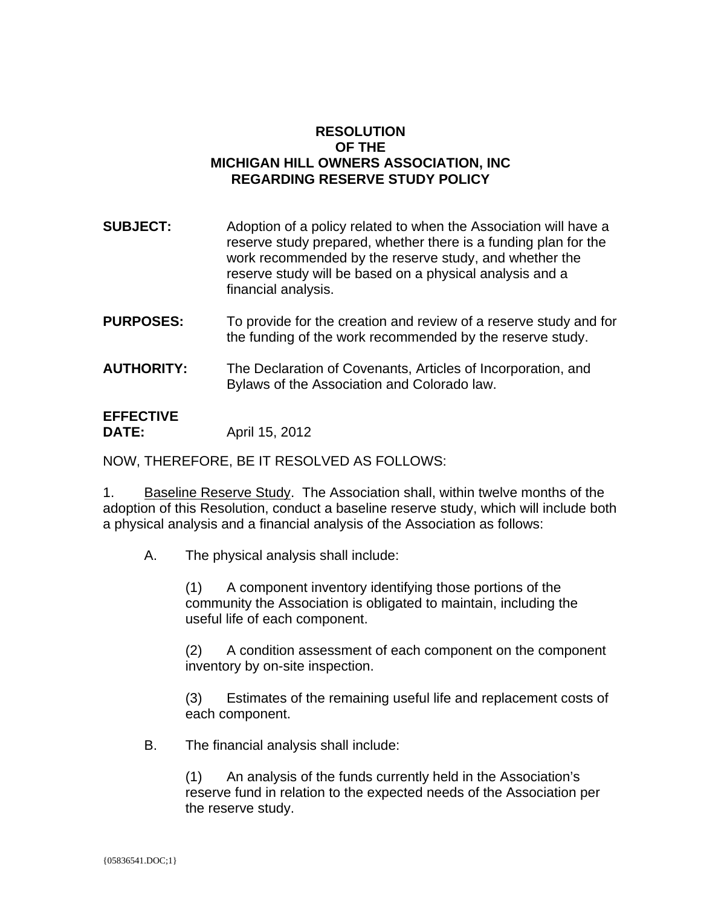## **RESOLUTION OF THE MICHIGAN HILL OWNERS ASSOCIATION, INC REGARDING RESERVE STUDY POLICY**

| <b>SUBJECT:</b> | Adoption of a policy related to when the Association will have a<br>reserve study prepared, whether there is a funding plan for the<br>work recommended by the reserve study, and whether the<br>reserve study will be based on a physical analysis and a<br>financial analysis. |
|-----------------|----------------------------------------------------------------------------------------------------------------------------------------------------------------------------------------------------------------------------------------------------------------------------------|
|                 |                                                                                                                                                                                                                                                                                  |

- **PURPOSES:** To provide for the creation and review of a reserve study and for the funding of the work recommended by the reserve study.
- **AUTHORITY:** The Declaration of Covenants, Articles of Incorporation, and Bylaws of the Association and Colorado law.

#### **EFFECTIVE DATE:** April 15, 2012

NOW, THEREFORE, BE IT RESOLVED AS FOLLOWS:

1. Baseline Reserve Study. The Association shall, within twelve months of the adoption of this Resolution, conduct a baseline reserve study, which will include both a physical analysis and a financial analysis of the Association as follows:

A. The physical analysis shall include:

(1) A component inventory identifying those portions of the community the Association is obligated to maintain, including the useful life of each component.

(2) A condition assessment of each component on the component inventory by on-site inspection.

(3) Estimates of the remaining useful life and replacement costs of each component.

B. The financial analysis shall include:

(1) An analysis of the funds currently held in the Association's reserve fund in relation to the expected needs of the Association per the reserve study.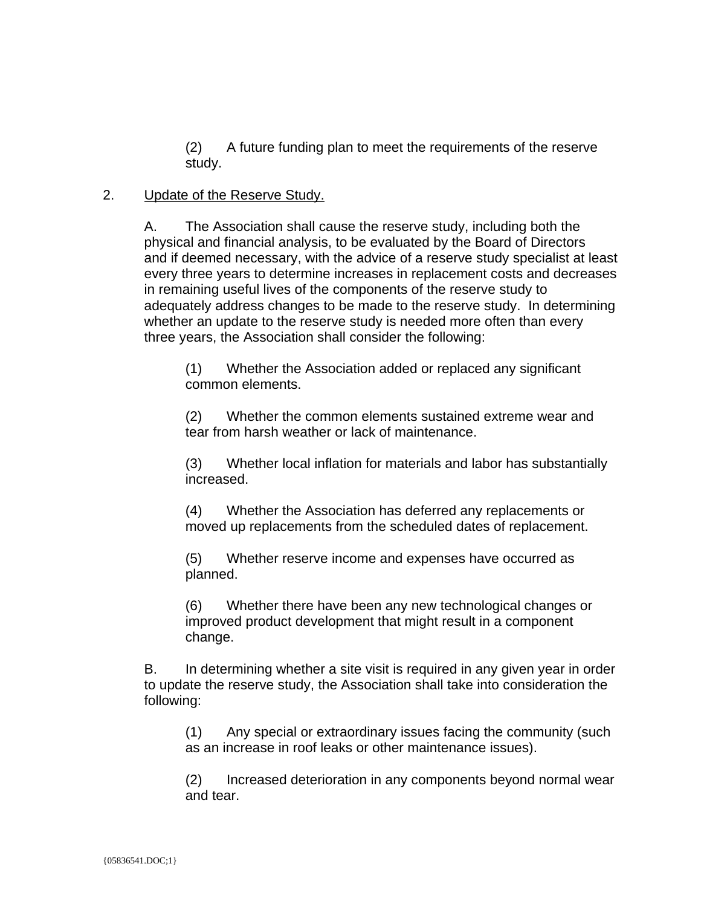(2) A future funding plan to meet the requirements of the reserve study.

### 2. Update of the Reserve Study.

A. The Association shall cause the reserve study, including both the physical and financial analysis, to be evaluated by the Board of Directors and if deemed necessary, with the advice of a reserve study specialist at least every three years to determine increases in replacement costs and decreases in remaining useful lives of the components of the reserve study to adequately address changes to be made to the reserve study. In determining whether an update to the reserve study is needed more often than every three years, the Association shall consider the following:

(1) Whether the Association added or replaced any significant common elements.

(2) Whether the common elements sustained extreme wear and tear from harsh weather or lack of maintenance.

(3) Whether local inflation for materials and labor has substantially increased.

(4) Whether the Association has deferred any replacements or moved up replacements from the scheduled dates of replacement.

(5) Whether reserve income and expenses have occurred as planned.

(6) Whether there have been any new technological changes or improved product development that might result in a component change.

B. In determining whether a site visit is required in any given year in order to update the reserve study, the Association shall take into consideration the following:

(1) Any special or extraordinary issues facing the community (such as an increase in roof leaks or other maintenance issues).

(2) Increased deterioration in any components beyond normal wear and tear.